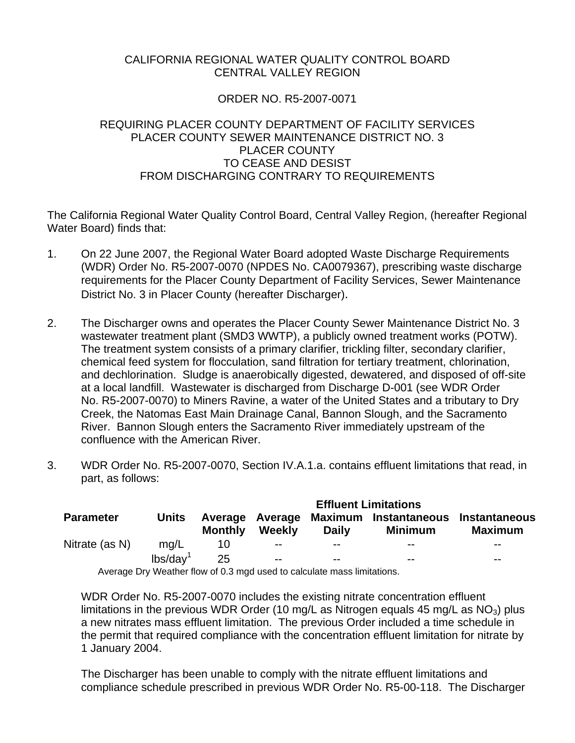## CALIFORNIA REGIONAL WATER QUALITY CONTROL BOARD CENTRAL VALLEY REGION

# ORDER NO. R5-2007-0071

## REQUIRING PLACER COUNTY DEPARTMENT OF FACILITY SERVICES PLACER COUNTY SEWER MAINTENANCE DISTRICT NO. 3 PLACER COUNTY TO CEASE AND DESIST FROM DISCHARGING CONTRARY TO REQUIREMENTS

The California Regional Water Quality Control Board, Central Valley Region, (hereafter Regional Water Board) finds that:

- 1. On 22 June 2007, the Regional Water Board adopted Waste Discharge Requirements (WDR) Order No. R5-2007-0070 (NPDES No. CA0079367), prescribing waste discharge requirements for the Placer County Department of Facility Services, Sewer Maintenance District No. 3 in Placer County (hereafter Discharger).
- 2. The Discharger owns and operates the Placer County Sewer Maintenance District No. 3 wastewater treatment plant (SMD3 WWTP), a publicly owned treatment works (POTW). The treatment system consists of a primary clarifier, trickling filter, secondary clarifier, chemical feed system for flocculation, sand filtration for tertiary treatment, chlorination, and dechlorination. Sludge is anaerobically digested, dewatered, and disposed of off-site at a local landfill. Wastewater is discharged from Discharge D-001 (see WDR Order No. R5-2007-0070) to Miners Ravine, a water of the United States and a tributary to Dry Creek, the Natomas East Main Drainage Canal, Bannon Slough, and the Sacramento River. Bannon Slough enters the Sacramento River immediately upstream of the confluence with the American River.
- 3. WDR Order No. R5-2007-0070, Section IV.A.1.a. contains effluent limitations that read, in part, as follows:

| <b>Parameter</b> |                      | <b>Effluent Limitations</b> |        |                                                                        |                                                  |                                        |
|------------------|----------------------|-----------------------------|--------|------------------------------------------------------------------------|--------------------------------------------------|----------------------------------------|
|                  | <b>Units</b>         | <b>Monthly</b>              | Weekly | <b>Daily</b>                                                           | Average Average Maximum Instantaneous<br>Minimum | <b>Instantaneous</b><br><b>Maximum</b> |
| Nitrate (as N)   | mq/L                 | 10                          | $- -$  | --                                                                     | $- -$                                            | $- -$                                  |
|                  | lbs/day <sup>1</sup> | 25                          | $- -$  | $- -$                                                                  | $- -$                                            | $- -$                                  |
|                  |                      |                             |        | Average Dry Weather flow of 0.3 mad used to calculate mass limitations |                                                  |                                        |

Average Dry Weather flow of 0.3 mgd used to calculate mass limitations.

WDR Order No. R5-2007-0070 includes the existing nitrate concentration effluent limitations in the previous WDR Order (10 mg/L as Nitrogen equals 45 mg/L as  $NO<sub>3</sub>$ ) plus a new nitrates mass effluent limitation. The previous Order included a time schedule in the permit that required compliance with the concentration effluent limitation for nitrate by 1 January 2004.

The Discharger has been unable to comply with the nitrate effluent limitations and compliance schedule prescribed in previous WDR Order No. R5-00-118. The Discharger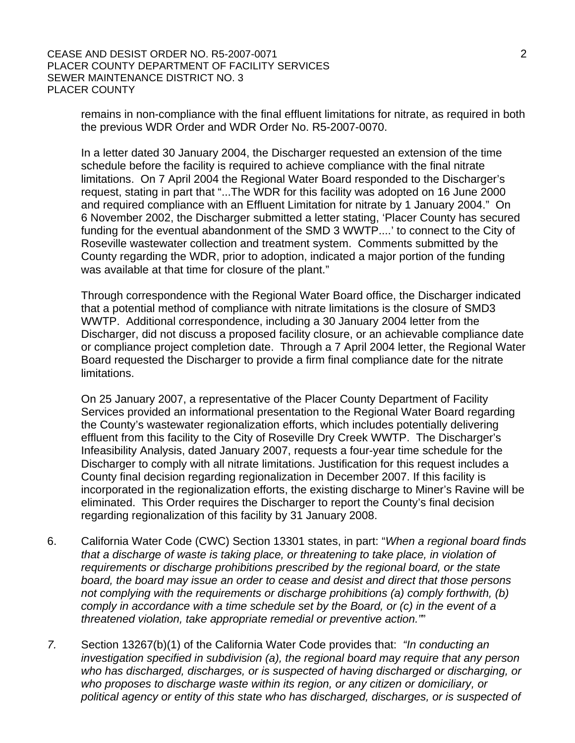remains in non-compliance with the final effluent limitations for nitrate, as required in both the previous WDR Order and WDR Order No. R5-2007-0070.

In a letter dated 30 January 2004, the Discharger requested an extension of the time schedule before the facility is required to achieve compliance with the final nitrate limitations. On 7 April 2004 the Regional Water Board responded to the Discharger's request, stating in part that "...The WDR for this facility was adopted on 16 June 2000 and required compliance with an Effluent Limitation for nitrate by 1 January 2004." On 6 November 2002, the Discharger submitted a letter stating, 'Placer County has secured funding for the eventual abandonment of the SMD 3 WWTP....' to connect to the City of Roseville wastewater collection and treatment system. Comments submitted by the County regarding the WDR, prior to adoption, indicated a major portion of the funding was available at that time for closure of the plant."

Through correspondence with the Regional Water Board office, the Discharger indicated that a potential method of compliance with nitrate limitations is the closure of SMD3 WWTP. Additional correspondence, including a 30 January 2004 letter from the Discharger, did not discuss a proposed facility closure, or an achievable compliance date or compliance project completion date. Through a 7 April 2004 letter, the Regional Water Board requested the Discharger to provide a firm final compliance date for the nitrate limitations.

On 25 January 2007, a representative of the Placer County Department of Facility Services provided an informational presentation to the Regional Water Board regarding the County's wastewater regionalization efforts, which includes potentially delivering effluent from this facility to the City of Roseville Dry Creek WWTP. The Discharger's Infeasibility Analysis, dated January 2007, requests a four-year time schedule for the Discharger to comply with all nitrate limitations. Justification for this request includes a County final decision regarding regionalization in December 2007. If this facility is incorporated in the regionalization efforts, the existing discharge to Miner's Ravine will be eliminated. This Order requires the Discharger to report the County's final decision regarding regionalization of this facility by 31 January 2008.

- 6. California Water Code (CWC) Section 13301 states, in part: "*When a regional board finds that a discharge of waste is taking place, or threatening to take place, in violation of requirements or discharge prohibitions prescribed by the regional board, or the state board, the board may issue an order to cease and desist and direct that those persons not complying with the requirements or discharge prohibitions (a) comply forthwith, (b) comply in accordance with a time schedule set by the Board, or (c) in the event of a threatened violation, take appropriate remedial or preventive action."*"
- *7.* Section 13267(b)(1) of the California Water Code provides that: *"In conducting an investigation specified in subdivision (a), the regional board may require that any person who has discharged, discharges, or is suspected of having discharged or discharging, or who proposes to discharge waste within its region, or any citizen or domiciliary, or political agency or entity of this state who has discharged, discharges, or is suspected of*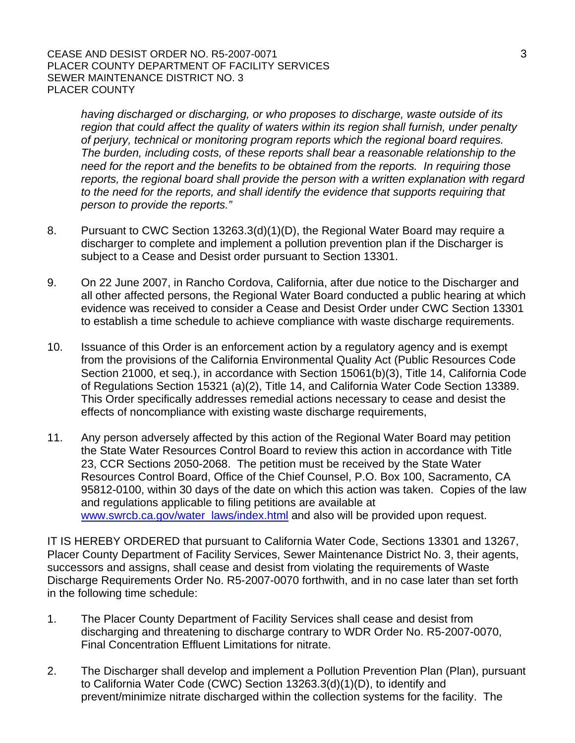#### CEASE AND DESIST ORDER NO. R5-2007-0071 3 PLACER COUNTY DEPARTMENT OF FACILITY SERVICES SEWER MAINTENANCE DISTRICT NO. 3 PLACER COUNTY

*having discharged or discharging, or who proposes to discharge, waste outside of its region that could affect the quality of waters within its region shall furnish, under penalty of perjury, technical or monitoring program reports which the regional board requires. The burden, including costs, of these reports shall bear a reasonable relationship to the need for the report and the benefits to be obtained from the reports. In requiring those reports, the regional board shall provide the person with a written explanation with regard to the need for the reports, and shall identify the evidence that supports requiring that person to provide the reports."* 

- 8. Pursuant to CWC Section 13263.3(d)(1)(D), the Regional Water Board may require a discharger to complete and implement a pollution prevention plan if the Discharger is subject to a Cease and Desist order pursuant to Section 13301.
- 9. On 22 June 2007, in Rancho Cordova, California, after due notice to the Discharger and all other affected persons, the Regional Water Board conducted a public hearing at which evidence was received to consider a Cease and Desist Order under CWC Section 13301 to establish a time schedule to achieve compliance with waste discharge requirements.
- 10. Issuance of this Order is an enforcement action by a regulatory agency and is exempt from the provisions of the California Environmental Quality Act (Public Resources Code Section 21000, et seq.), in accordance with Section 15061(b)(3), Title 14, California Code of Regulations Section 15321 (a)(2), Title 14, and California Water Code Section 13389. This Order specifically addresses remedial actions necessary to cease and desist the effects of noncompliance with existing waste discharge requirements,
- 11. Any person adversely affected by this action of the Regional Water Board may petition the State Water Resources Control Board to review this action in accordance with Title 23, CCR Sections 2050-2068. The petition must be received by the State Water Resources Control Board, Office of the Chief Counsel, P.O. Box 100, Sacramento, CA 95812-0100, within 30 days of the date on which this action was taken. Copies of the law and regulations applicable to filing petitions are available at www.swrcb.ca.gov/water\_laws/index.html and also will be provided upon request.

IT IS HEREBY ORDERED that pursuant to California Water Code, Sections 13301 and 13267, Placer County Department of Facility Services, Sewer Maintenance District No. 3, their agents, successors and assigns, shall cease and desist from violating the requirements of Waste Discharge Requirements Order No. R5-2007-0070 forthwith, and in no case later than set forth in the following time schedule:

- 1. The Placer County Department of Facility Services shall cease and desist from discharging and threatening to discharge contrary to WDR Order No. R5-2007-0070, Final Concentration Effluent Limitations for nitrate.
- 2. The Discharger shall develop and implement a Pollution Prevention Plan (Plan), pursuant to California Water Code (CWC) Section 13263.3(d)(1)(D), to identify and prevent/minimize nitrate discharged within the collection systems for the facility. The